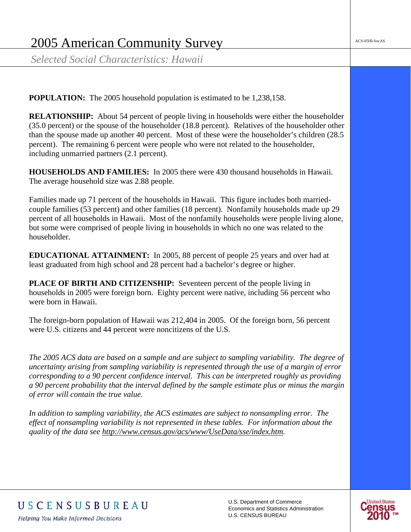*Selected Social Characteristics: Hawaii* 

**POPULATION:** The 2005 household population is estimated to be 1,238,158.

**RELATIONSHIP:** About 54 percent of people living in households were either the householder (35.0 percent) or the spouse of the householder (18.8 percent). Relatives of the householder other than the spouse made up another 40 percent. Most of these were the householder's children (28.5 percent). The remaining 6 percent were people who were not related to the householder, including unmarried partners (2.1 percent).

**HOUSEHOLDS AND FAMILIES:** In 2005 there were 430 thousand households in Hawaii. The average household size was 2.88 people.

Families made up 71 percent of the households in Hawaii. This figure includes both marriedcouple families (53 percent) and other families (18 percent). Nonfamily households made up 29 percent of all households in Hawaii. Most of the nonfamily households were people living alone, but some were comprised of people living in households in which no one was related to the householder.

**EDUCATIONAL ATTAINMENT:** In 2005, 88 percent of people 25 years and over had at least graduated from high school and 28 percent had a bachelor's degree or higher.

**PLACE OF BIRTH AND CITIZENSHIP:** Seventeen percent of the people living in households in 2005 were foreign born. Eighty percent were native, including 56 percent who were born in Hawaii.

The foreign-born population of Hawaii was 212,404 in 2005. Of the foreign born, 56 percent were U.S. citizens and 44 percent were noncitizens of the U.S.

*The 2005 ACS data are based on a sample and are subject to sampling variability. The degree of uncertainty arising from sampling variability is represented through the use of a margin of error corresponding to a 90 percent confidence interval. This can be interpreted roughly as providing a 90 percent probability that the interval defined by the sample estimate plus or minus the margin of error will contain the true value.* 

*In addition to sampling variability, the ACS estimates are subject to nonsampling error. The effect of nonsampling variability is not represented in these tables. For information about the quality of the data see http://www.census.gov/acs/www/UseData/sse/index.htm.*